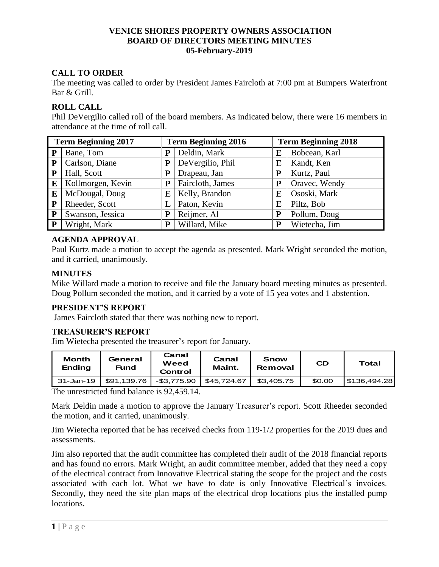## **VENICE SHORES PROPERTY OWNERS ASSOCIATION BOARD OF DIRECTORS MEETING MINUTES 05-February-2019**

# **CALL TO ORDER**

The meeting was called to order by President James Faircloth at 7:00 pm at Bumpers Waterfront Bar & Grill.

## **ROLL CALL**

Phil DeVergilio called roll of the board members. As indicated below, there were 16 members in attendance at the time of roll call.

| <b>Term Beginning 2017</b> |                   | <b>Term Beginning 2016</b> |                  | <b>Term Beginning 2018</b> |               |  |
|----------------------------|-------------------|----------------------------|------------------|----------------------------|---------------|--|
| P                          | Bane, Tom         | Р                          | Deldin, Mark     | E                          | Bobcean, Karl |  |
| P                          | Carlson, Diane    | P                          | DeVergilio, Phil | E                          | Kandt, Ken    |  |
| P                          | Hall, Scott       | P                          | Drapeau, Jan     | P                          | Kurtz, Paul   |  |
| E                          | Kollmorgen, Kevin | P                          | Faircloth, James |                            | Oravec, Wendy |  |
| E                          | McDougal, Doug    | E                          | Kelly, Brandon   | E                          | Ososki, Mark  |  |
| P                          | Rheeder, Scott    |                            | Paton, Kevin     | E                          | Piltz, Bob    |  |
| P                          | Swanson, Jessica  | P                          | Reijmer, Al      | P                          | Pollum, Doug  |  |
| P                          | Wright, Mark      | P                          | Willard, Mike    | P                          | Wietecha, Jim |  |

## **AGENDA APPROVAL**

Paul Kurtz made a motion to accept the agenda as presented. Mark Wright seconded the motion, and it carried, unanimously.

## **MINUTES**

Mike Willard made a motion to receive and file the January board meeting minutes as presented. Doug Pollum seconded the motion, and it carried by a vote of 15 yea votes and 1 abstention.

## **PRESIDENT'S REPORT**

James Faircloth stated that there was nothing new to report.

## **TREASURER'S REPORT**

Jim Wietecha presented the treasurer's report for January.

| <b>Month</b><br><b>Ending</b> | General<br>Fund | Canal<br>Weed<br>Control | Canal<br>Maint. | Snow<br>Removal | <b>CD</b> | Total       |
|-------------------------------|-----------------|--------------------------|-----------------|-----------------|-----------|-------------|
| 31-Jan-19                     | \$91.139.76     | $-$ \$3.775.90           | \$45,724.67     | \$3.405.75      | \$0.00    | 5136,494.28 |

The unrestricted fund balance is 92,459.14.

Mark Deldin made a motion to approve the January Treasurer's report. Scott Rheeder seconded the motion, and it carried, unanimously.

Jim Wietecha reported that he has received checks from 119-1/2 properties for the 2019 dues and assessments.

Jim also reported that the audit committee has completed their audit of the 2018 financial reports and has found no errors. Mark Wright, an audit committee member, added that they need a copy of the electrical contract from Innovative Electrical stating the scope for the project and the costs associated with each lot. What we have to date is only Innovative Electrical's invoices. Secondly, they need the site plan maps of the electrical drop locations plus the installed pump locations.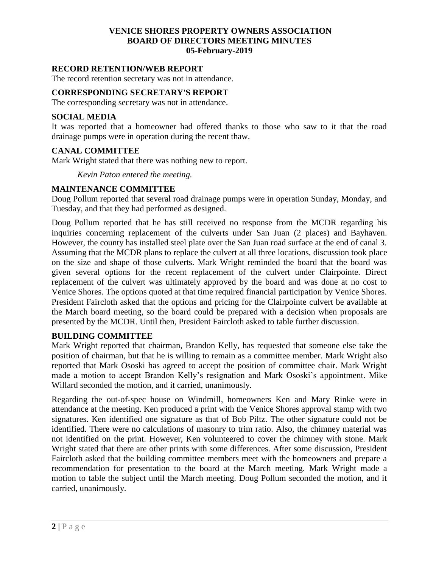## **VENICE SHORES PROPERTY OWNERS ASSOCIATION BOARD OF DIRECTORS MEETING MINUTES 05-February-2019**

### **RECORD RETENTION/WEB REPORT**

The record retention secretary was not in attendance.

## **CORRESPONDING SECRETARY'S REPORT**

The corresponding secretary was not in attendance.

## **SOCIAL MEDIA**

It was reported that a homeowner had offered thanks to those who saw to it that the road drainage pumps were in operation during the recent thaw.

## **CANAL COMMITTEE**

Mark Wright stated that there was nothing new to report.

*Kevin Paton entered the meeting.*

### **MAINTENANCE COMMITTEE**

Doug Pollum reported that several road drainage pumps were in operation Sunday, Monday, and Tuesday, and that they had performed as designed.

Doug Pollum reported that he has still received no response from the MCDR regarding his inquiries concerning replacement of the culverts under San Juan (2 places) and Bayhaven. However, the county has installed steel plate over the San Juan road surface at the end of canal 3. Assuming that the MCDR plans to replace the culvert at all three locations, discussion took place on the size and shape of those culverts. Mark Wright reminded the board that the board was given several options for the recent replacement of the culvert under Clairpointe. Direct replacement of the culvert was ultimately approved by the board and was done at no cost to Venice Shores. The options quoted at that time required financial participation by Venice Shores. President Faircloth asked that the options and pricing for the Clairpointe culvert be available at the March board meeting, so the board could be prepared with a decision when proposals are presented by the MCDR. Until then, President Faircloth asked to table further discussion.

### **BUILDING COMMITTEE**

Mark Wright reported that chairman, Brandon Kelly, has requested that someone else take the position of chairman, but that he is willing to remain as a committee member. Mark Wright also reported that Mark Ososki has agreed to accept the position of committee chair. Mark Wright made a motion to accept Brandon Kelly's resignation and Mark Ososki's appointment. Mike Willard seconded the motion, and it carried, unanimously.

Regarding the out-of-spec house on Windmill, homeowners Ken and Mary Rinke were in attendance at the meeting. Ken produced a print with the Venice Shores approval stamp with two signatures. Ken identified one signature as that of Bob Piltz. The other signature could not be identified. There were no calculations of masonry to trim ratio. Also, the chimney material was not identified on the print. However, Ken volunteered to cover the chimney with stone. Mark Wright stated that there are other prints with some differences. After some discussion, President Faircloth asked that the building committee members meet with the homeowners and prepare a recommendation for presentation to the board at the March meeting. Mark Wright made a motion to table the subject until the March meeting. Doug Pollum seconded the motion, and it carried, unanimously.